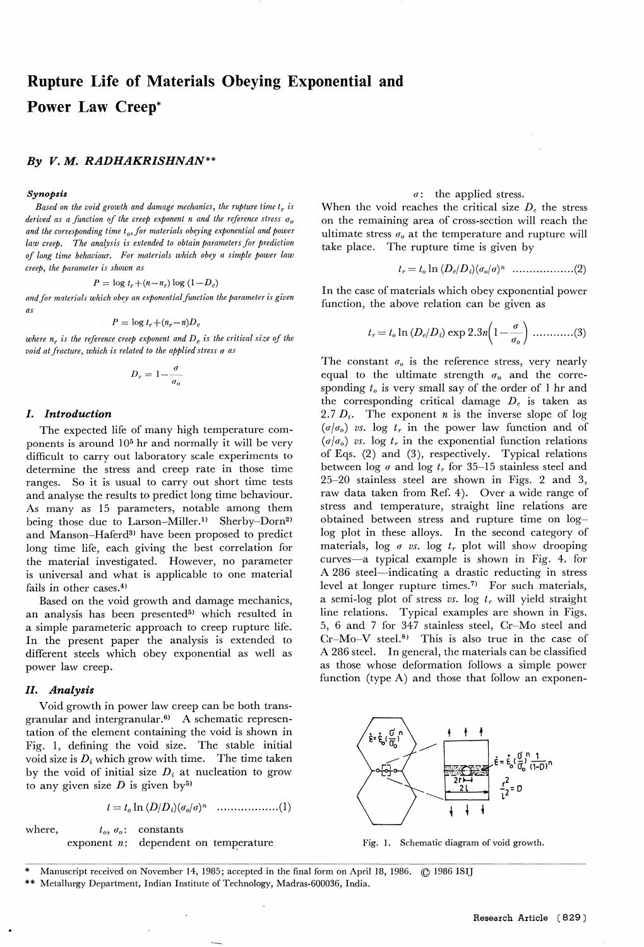# Rupture Life of Materials Obeying Exponential an Power Law Creep\*

## By V. M. RADHAKRISHNAN\*\*

#### Synopsis

Based on the void growth and damage mechanics, the rupture time  $t_r$  is derived as a function of the creep exponent n and the reference stress  $\sigma_0$ and the corresponding time  $t_o$ , for materials obeying exponential and power law creep. The analysis is extended to obtain parameters for prediction of long time behaviour. For materials which obey a simple power law creep, the parameter is shown as

$$
P = \log t_r + (n - n_r) \log (1 - D_c)
$$

and for materials which obey an exponential function the parameter is given as

$$
P = \log t_r + (n_r - n)D_c
$$

where  $n_r$  is the reference creep exponent and  $D_c$  is the critical size of the void at fracture, which is related to the applied stress  $\sigma$  as

$$
D_c = 1 - \frac{\sigma}{\sigma_o}
$$

## I. Introduction

The expected life of many high temperature components is around 105 hr and normally it will be very difficult to carry out laboratory scale experiments to determine the stress and creep rate in those time ranges. So it is usual to carry out short time tests and analyse the results to predict long time behaviour. As many as 15 parameters, notable among them being those due to Larson-Miller.<sup>1)</sup> Sherby-Dorn<sup>2)</sup> and Manson-Haferd<sup>3)</sup> have been proposed to predict long time life, each giving the best correlation for the material investigated. However, no parameter is universal and what is applicable to one material fails in other cases. $4$ )

Based on the void growth and damage mechanics, an analysis has been presented<sup>5)</sup> which resulted in a simple parameteric approach to creep rupture life. In the present paper the analysis is extended to different steels which obey exponential as well as power law creep.

## II. Analysis

Void growth in power law creep can be both transgranular and intergranular. $6$  A schematic representation of the element containing the void is shown in Fig. 1, defining the void size. The stable initial void size is  $D_i$  which grow with time. The time taken by the void of initial size  $D_i$  at nucleation to grow to any given size  $D$  is given by<sup>5)</sup>

t == to In (D/D1)(oo/q)n ..................(1)

where,  $t_0, \sigma_0$ : constants exponent  $n$ : dependent on temperature

#### $\sigma$ : the applied stress.

When the void reaches the critical size  $D_c$  the stress on the remaining area of cross-section will reach the ultimate stress  $\sigma_0$  at the temperature and rupture will take place. The rupture time is given by

tr = to In (D~/Dt)(oo/ r)n ..................(2)

In the case of materials which obey exponential power function, the above relation can be given as

tr = to in (D~/Di) exp 2.3n(1- 6 (3)

The constant  $\sigma_o$  is the reference stress, very nearly equal to the ultimate strength  $\sigma_u$  and the corresponding  $t_0$  is very small say of the order of 1 hr and the corresponding critical damage  $D_c$  is taken as 2.7  $D_i$ . The exponent *n* is the inverse slope of log  $(\sigma/\sigma_o)$  vs. log  $t_r$  in the power law function and of  $(\sigma/\sigma_o)$  vs. log  $t_r$  in the exponential function relations of Eqs. (2) and (3), respectively. Typical relations between log  $\sigma$  and log  $t_r$  for 35-15 stainless steel and 25-20 stainless steel are shown in Figs. 2 and 3, raw data taken from Ref. 4). Over a wide range of stress and temperature, straight line relations are obtained between stress and rupture time on loglog plot in these alloys. In the second category of materials, log  $\sigma$  vs. log  $t_r$  plot will show drooping curves-a typical example is shown in Fig. 4. for A 286 steel-indicating a drastic reducting in stress level at longer rupture times.<sup>7)</sup> For such materials, a semi-log plot of stress vs. log  $t_r$  will yield straight line relations. Typical examples are shown in Figs. 5, 6 and 7 for 347 stainless steel, Cr-Mo steel and  $Cr-Mo-V$  steel.<sup>8)</sup> This is also true in the case of A 286 steel. In general, the materials can be classified as those whose deformation follows a simple power function (type A) and those that follow an exponen-



Fig. 1. Schematic diagram of void growth.

- \* Manuscript received on November 14, 1985; accepted in the final form on April 18, 1986.  $\circled$  1986 ISI
- \*\* Metallurgy Department, Indian Institute of Technology, Madras-600036, India.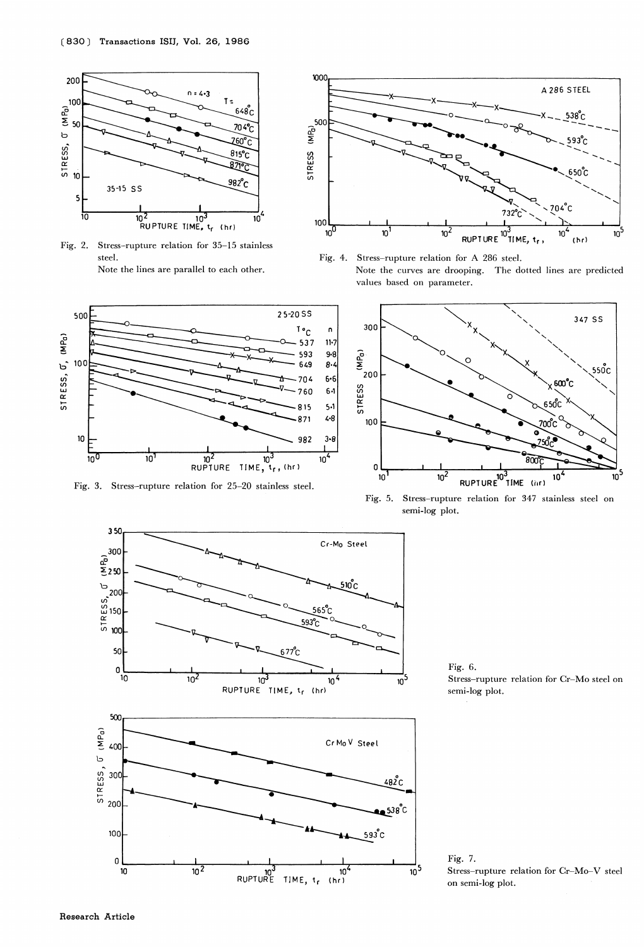

Fig. 2. Stress-rupture relation for  $35-15$  stainless steel. Note the lines are parallel to each other.

500

 $10C$ 

10

 $10<sup>0</sup>$ 

 $STRESS, G, MP<sub>0</sub>$ 

Fig. 3. Stress-rupture relation for 25-20 stainless steel.

 $\frac{1}{10^2}$ 

 $\overline{10}$ 

 $\frac{10^2}{RUPTURE}$ 



Fig. 4. Stress-rupture relation for A 286 steel. Note the curves are drooping. The dotted lines are predicted values based on parameter.



Fig. 5. Stress-rupture relation for 347 stainless steel on semi-log plot.



RUPTURE TIME,  $t_f$  (hr)

 $10<sup>4</sup>$ 

25-20SS

 $T \circ_C$ 

537

593

649

704

760

815

871

982

10

TIME,

้<sub>โr</sub>, (hr)

 $\mathbf{r}$ 

 $11-7$ 

 $9 - 8$ 

 $8 - 4$ 

 $6 - 6$ 

 $4 - 8$ 

 $3 - 8$ 

 $10<sup>4</sup>$ 

Fig. 6. Stress-rupture relation for Cr-Mo steel on semi-log plot.

Fig. 7. Stress–rupture relation for Cr–Mo–V stee on semi-log plot.

 $\frac{1}{10}$ 5

10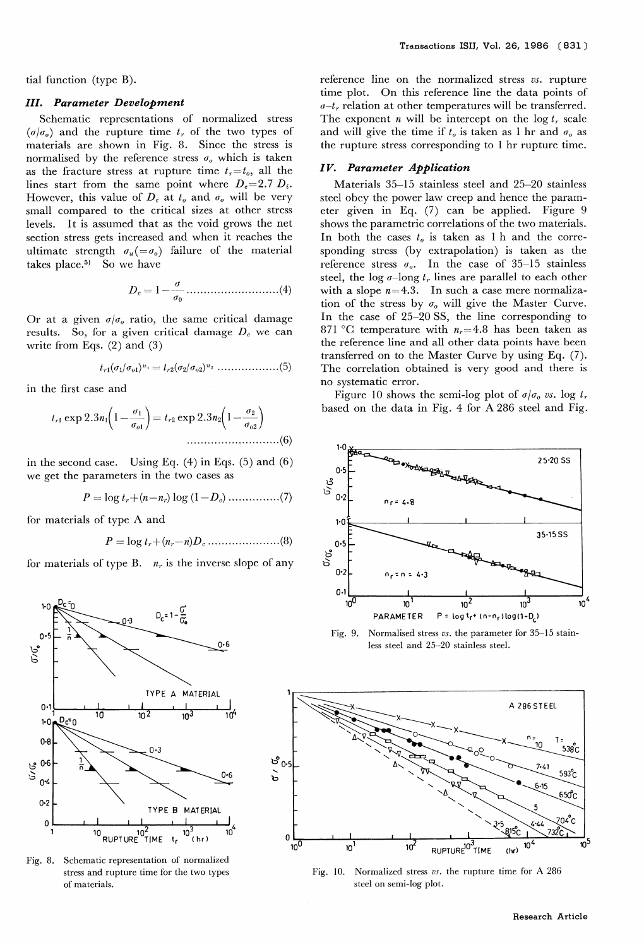tial function (type B).

## III. Parameter Development

Schematic representations of normalized stress  $(\sigma/\sigma_o)$  and the rupture time  $t_r$  of the two types of materials are shown in Fig. 8. Since the stress is normalised by the reference stress  $\sigma$ <sub>o</sub> which is taken as the fracture stress at rupture time  $t_r=t_o$ , all the lines start from the same point where  $D_e=2.7 D_i$ . However, this value of  $D_c$  at  $t_o$  and  $\sigma_o$  will be very small compared to the critical sizes at other stress levels. It is assumed that as the void grows the net section stress gets increased and when it reaches the ultimate strength  $\sigma_u (= \sigma_o)$  failure of the material takes place.<sup>5)</sup> So we have

Q D~ =1- ............................(4) 6p

Or at a given  $\sigma/\sigma_{\theta}$  ratio, the same critical damage results. So, for a given critical damage  $D<sub>e</sub>$  we can write from Eqs. (2) and (3)

$$
t_{r1}(\sigma_1/\sigma_{o1})^{n_1} = t_{r2}(\sigma_2/\sigma_{o2})^{n_2} \dots \dots \dots \dots \dots \dots (5)
$$

in the first case and

$$
t_{r1} \exp 2.3n_1 \left(1 - \frac{\sigma_1}{\sigma_{o1}}\right) = t_{r2} \exp 2.3n_2 \left(1 - \frac{\sigma_2}{\sigma_{o2}}\right)
$$

in the second case. Using Eq.  $(4)$  in Eqs.  $(5)$  and  $(6)$ we get the parameters in the two cases as

$$
P = \log t_r + (n - n_r) \log (1 - D_c) \dots \dots \dots \dots \dots (7)
$$

for materials of type A and

P = log tr+(n,.-n)Dc .....................(8)

for materials of type B.  $n_r$  is the inverse slope of any



Fig. 8. Schematic representation of normalized stress and rupture time for the two types of materials.

reference line on the normalized stress vs. rupture time plot. On this reference line the data points of  $\sigma$ - $t_r$  relation at other temperatures will be transferred. The exponent *n* will be intercept on the  $\log t_r$  scale and will give the time if  $t_0$  is taken as 1 hr and  $\sigma_0$  as the rupture stress corresponding to 1 hr rupture time.

# Iv. Parameter Application

Materials 35-15 stainless steel and 25-20 stainless steel obey the power law creep and hence the parameter given in Eq. (7) can be applied. Figure 9 shows the parametric correlations of the two materials. In both the cases  $t<sub>o</sub>$  is taken as 1 h and the corresponding stress (by extrapolation) is taken as the reference stress  $\sigma_{\theta}$ . In the case of 35-15 stainless steel, the log  $\sigma$ -long  $t_r$  lines are parallel to each other with a slope  $n=4.3$ . In such a case mere normalization of the stress by  $\sigma_0$  will give the Master Curve. In the case of 25-20 SS, the line corresponding to 871 °C temperature with  $n_r=4.8$  has been taken as the reference line and all other data points have been transferred on to the Master Curve by using Eq. (7). The correlation obtained is very good and there is no systematic error.

Figure 10 shows the semi-log plot of  $\sigma/\sigma_0$  vs. log  $t_r$ based on the data in Fig. 4 for A 286 steel and Fig.



Fig. 9. Normalised stress vs, the parameter for 35-15 stainless steel and 25-20 stainless steel.



Fig. 10. Normalized stress vs. the rupture time for A 286 steel on semi-log plot.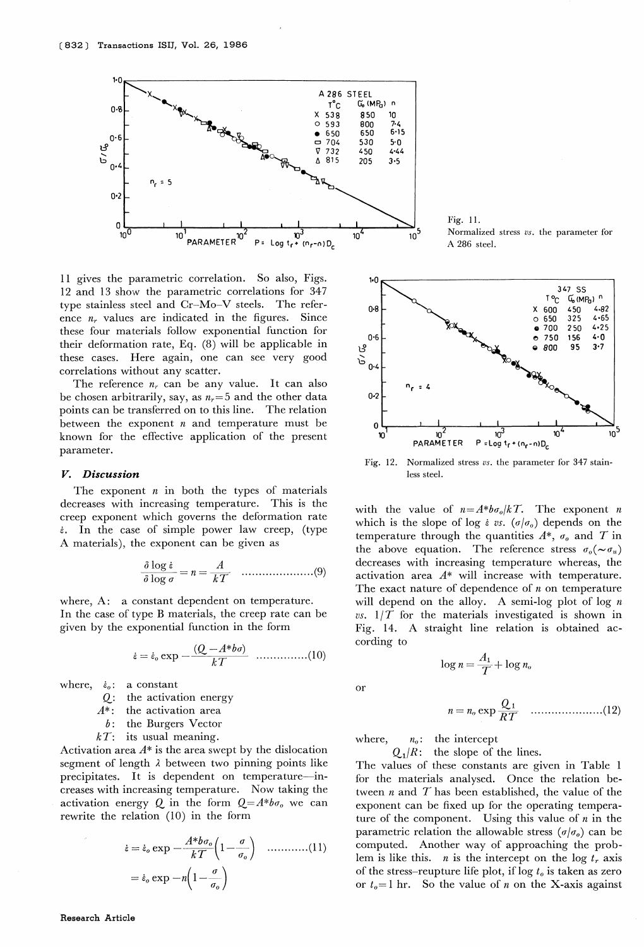

11 gives the parametric correlation. So also, Figs. 12 and 13 show the parametric correlations for 347 type stainless steel and Cr-Mo-V steels. The reference  $n_r$  values are indicated in the figures. Since these four materials follow exponential function for their deformation rate, Eq. (8) will be applicable in these cases. Here again, one can see very good correlations without any scatter.

The reference  $n_r$  can be any value. It can also be chosen arbitrarily, say, as  $n_r=5$  and the other data points can be transferred on to this line. The relation between the exponent  $n$  and temperature must be known for the effective application of the present parameter.

#### V. Discussion

The exponent  $n$  in both the types of materials decreases with increasing temperature. This is the creep exponent which governs the deformation rate  $\dot{\epsilon}$ . In the case of simple power law creep, (type A materials), the exponent can be given as

$$
\frac{\partial \log \dot{\varepsilon}}{\partial \log \sigma} = n = \frac{A}{kT} \quad \dots \dots \dots \dots \dots \dots \dots \dots (9)
$$

where, A: a constant dependent on temperature. In the case of type B materials, the creep rate can be given by the exponential function in the form

$$
\dot{\varepsilon} = \dot{\varepsilon}_o \exp{-\frac{(Q - A^* b \sigma)}{kT}} \quad \dots \dots \dots \dots \dots (10)
$$

where,  $\dot{\epsilon}_0$ : a constant

 $Q$ : the activation energy<br> $A^*$ : the activation area

the activation area

 $b$ : the Burgers Vector

 $kT$ : its usual meaning.

Activation area  $A^*$  is the area swept by the dislocation segment of length  $\lambda$  between two pinning points like precipitates. It is dependent on temperature-increases with increasing temperature. Now taking the activation energy Q in the form  $Q = A^*b\sigma_0$  we can rewrite the relation (10) in the form

A\*boo &o exp - k T =~oexp-n 1- C 1-- 6 o Qo (11)

Fig. 11. Normalized stress vs. the parameter for A 286 steel.



Fig. 12. Normalized stress  $vs.$  the parameter for 347 stain less steel.

with the value of  $n=A*b\sigma_0/kT$ . The exponent n which is the slope of log  $\epsilon$  vs. ( $\sigma/\sigma_o$ ) depends on the temperature through the quantities  $A^*$ ,  $\sigma_o$  and T in the above equation. The reference stress  $\sigma_o(\sim \sigma_u)$ decreases with increasing temperature whereas, the activation area A\* will increase with temperature. The exact nature of dependence of  $n$  on temperature will depend on the alloy. A semi-log plot of log  $n$ vs.  $1/T$  for the materials investigated is shown in Fig. 14. A straight line relation is obtained according to

$$
\log n = \frac{A_1}{T} + \log n_o
$$

or

 n = n Q,1 o exp R T .....................(12)

where,  $n_0$ : the intercept

 $Q_1/R$ : the slope of the lines.

The values of these constants are given in Table 1 for the materials analysed. Once the relation between  $n$  and  $T$  has been established, the value of the exponent can be fixed up for the operating temperature of the component. Using this value of  $n$  in the parametric relation the allowable stress  $(\sigma/\sigma_o)$  can be computed. Another way of approaching the problem is like this. *n* is the intercept on the log  $t_r$  axis of the stress–reupture life plot, if  $\log t_0$  is taken as zero or  $t_0=1$  hr. So the value of n on the X-axis against